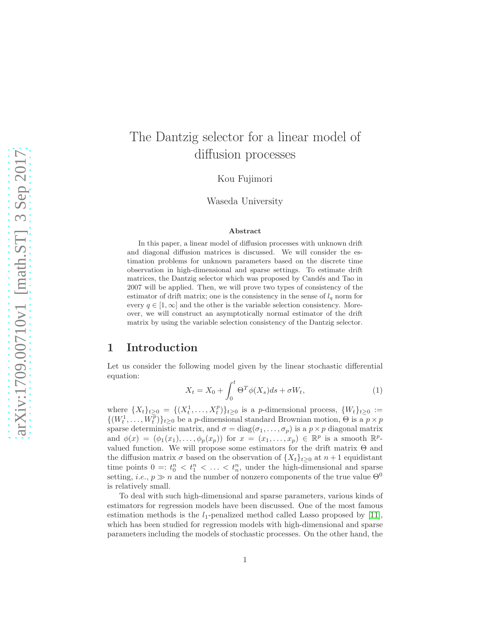# The Dantzig selector for a linear model of diffusion processes

Kou Fujimori

Waseda University

#### Abstract

In this paper, a linear model of diffusion processes with unknown drift and diagonal diffusion matrices is discussed. We will consider the estimation problems for unknown parameters based on the discrete time observation in high-dimensional and sparse settings. To estimate drift matrices, the Dantzig selector which was proposed by Candés and Tao in 2007 will be applied. Then, we will prove two types of consistency of the estimator of drift matrix; one is the consistency in the sense of  $l_q$  norm for every  $q \in [1,\infty]$  and the other is the variable selection consistency. Moreover, we will construct an asymptotically normal estimator of the drift matrix by using the variable selection consistency of the Dantzig selector.

### 1 Introduction

Let us consider the following model given by the linear stochastic differential equation:

<span id="page-0-0"></span>
$$
X_t = X_0 + \int_0^t \Theta^T \phi(X_s) ds + \sigma W_t,
$$
\n(1)

where  $\{X_t\}_{t\geq 0} = \{(X_t^1, \ldots, X_t^p)\}_{t\geq 0}$  is a *p*-dimensional process,  $\{W_t\}_{t\geq 0} :=$  $\{(W_t^1, \ldots, W_t^{\overline{p}})\}_{t\geq 0}$  be a *p*-dimensional standard Brownian motion,  $\Theta$  is a  $p \times p$ sparse deterministic matrix, and  $\sigma = diag(\sigma_1, \ldots, \sigma_p)$  is a  $p \times p$  diagonal matrix and  $\phi(x) = (\phi_1(x_1), \ldots, \phi_p(x_p))$  for  $x = (x_1, \ldots, x_p) \in \mathbb{R}^p$  is a smooth  $\mathbb{R}^p$ . valued function. We will propose some estimators for the drift matrix  $\Theta$  and the diffusion matrix  $\sigma$  based on the observation of  $\{X_t\}_{t>0}$  at  $n+1$  equidistant time points  $0 =: t_0^n < t_1^n < \ldots < t_n^n$ , under the high-dimensional and sparse setting, *i.e.*,  $p \gg n$  and the number of nonzero components of the true value  $\Theta^0$ is relatively small.

To deal with such high-dimensional and sparse parameters, various kinds of estimators for regression models have been discussed. One of the most famous estimation methods is the  $l_1$ -penalized method called Lasso proposed by [11], which has been studied for regression models with high-dimensional and sparse parameters including the models of stochastic processes. On the other hand, the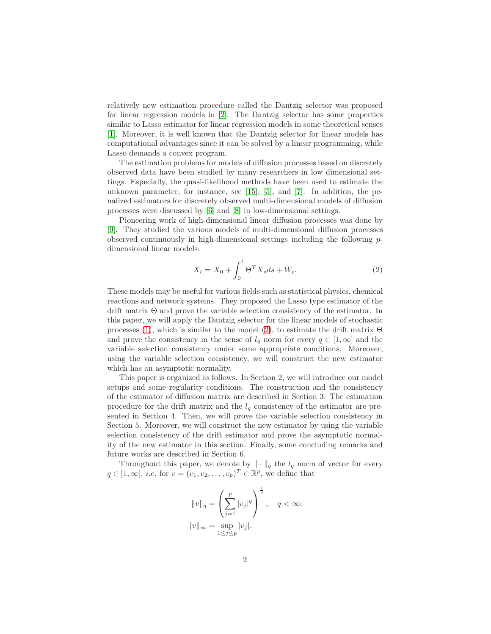relatively new estimation procedure called the Dantzig selector was proposed for linear regression models in [2]. The Dantzig selector has some properties similar to Lasso estimator for linear regression models in some theoretical senses [1]. Moreover, it is well known that the Dantzig selector for linear models has computational advantages since it can be solved by a linear programming, while Lasso demands a convex program.

The estimation problems for models of diffusion processes based on discretely observed data have been studied by many researchers in low dimensional settings. Especially, the quasi-likelihood methods have been used to estimate the unknown parameter, for instance, see  $[15]$ ,  $[5]$ , and  $[7]$ . In addition, the penalized estimators for discretely observed multi-dimensional models of diffusion processes were discussed by [\[6\]](#page-18-0) and [8] in low-dimensional settings.

Pioneering work of high-dimensional linear diffusion processes was done by [\[9\]](#page-18-1). They studied the various models of multi-dimensional diffusion processes observed continuously in high-dimensional settings including the following pdimensional linear models:

<span id="page-1-0"></span>
$$
X_t = X_0 + \int_0^t \Theta^T X_s ds + W_t.
$$
 (2)

These models may be useful for various fields such as statistical physics, chemical reactions and network systems. They proposed the Lasso type estimator of the drift matrix Θ and prove the variable selection consistency of the estimator. In this paper, we will apply the Dantzig selector for the linear models of stochastic processes [\(1\)](#page-0-0), which is similar to the model [\(2\)](#page-1-0), to estimate the drift matrix  $\Theta$ and prove the consistency in the sense of  $l_q$  norm for every  $q \in [1,\infty]$  and the variable selection consistency under some appropriate conditions. Moreover, using the variable selection consistency, we will construct the new estimator which has an asymptotic normality.

This paper is organized as follows. In Section 2, we will introduce our model setups and some regularity conditions. The construction and the consistency of the estimator of diffusion matrix are described in Section 3. The estimation procedure for the drift matrix and the  $l_q$  consistency of the estimator are presented in Section 4. Then, we will prove the variable selection consistency in Section 5. Moreover, we will construct the new estimator by using the variable selection consistency of the drift estimator and prove the asymptotic normality of the new estimator in this section. Finally, some concluding remarks and future works are described in Section 6.

Throughout this paper, we denote by  $\|\cdot\|_q$  the  $l_q$  norm of vector for every  $q \in [1,\infty], i.e.$  for  $v = (v_1, v_2, \dots, v_p)^T \in \mathbb{R}^p$ , we define that

$$
||v||_q = \left(\sum_{j=1}^p |v_j|^q\right)^{\frac{1}{q}}, \quad q < \infty;
$$
  

$$
||v||_{\infty} = \sup_{1 \le j \le p} |v_j|.
$$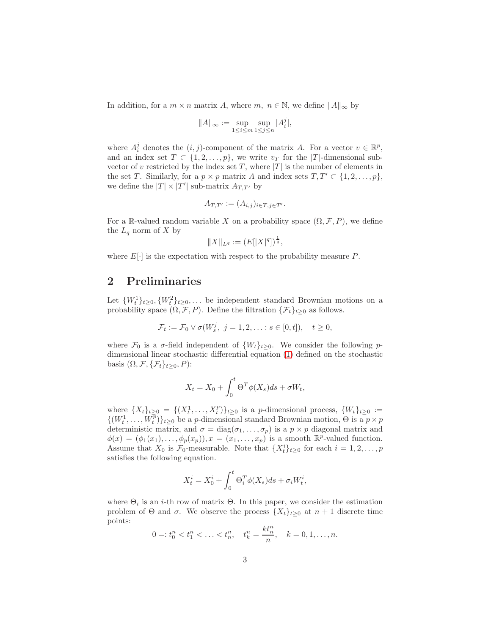In addition, for a  $m \times n$  matrix A, where  $m, n \in \mathbb{N}$ , we define  $||A||_{\infty}$  by

$$
||A||_{\infty} := \sup_{1 \le i \le m} \sup_{1 \le j \le n} |A_i^j|,
$$

where  $A_i^j$  denotes the  $(i, j)$ -component of the matrix A. For a vector  $v \in \mathbb{R}^p$ , and an index set  $T \subset \{1, 2, ..., p\}$ , we write  $v_T$  for the |T|-dimensional subvector of v restricted by the index set T, where  $|T|$  is the number of elements in the set T. Similarly, for a  $p \times p$  matrix A and index sets  $T, T' \subset \{1, 2, \ldots, p\}$ , we define the  $|T| \times |T'|$  sub-matrix  $A_{T,T'}$  by

$$
A_{T,T'} := (A_{i,j})_{i \in T, j \in T'}.
$$

For a R-valued random variable X on a probability space  $(\Omega, \mathcal{F}, P)$ , we define the  $L_q$  norm of X by

$$
||X||_{L^q}:=(E[|X|^q])^{\frac{1}{q}},
$$

where  $E[\cdot]$  is the expectation with respect to the probability measure P.

### 2 Preliminaries

Let  $\{W_t^1\}_{t\geq0}$ ,  $\{W_t^2\}_{t\geq0}$ ,... be independent standard Brownian motions on a probability space  $(\Omega, \mathcal{F}, P)$ . Define the filtration  $\{\mathcal{F}_t\}_{t\geq 0}$  as follows.

$$
\mathcal{F}_t := \mathcal{F}_0 \vee \sigma(W_s^j, \ j = 1, 2, \ldots : s \in [0, t]), \quad t \ge 0,
$$

where  $\mathcal{F}_0$  is a  $\sigma$ -field independent of  $\{W_t\}_{t\geq 0}$ . We consider the following pdimensional linear stochastic differential equation [\(1\)](#page-0-0) defined on the stochastic basis  $(\Omega, \mathcal{F}, \{\mathcal{F}_t\}_{t\geq 0}, P)$ :

$$
X_t = X_0 + \int_0^t \Theta^T \phi(X_s) ds + \sigma W_t,
$$

where  $\{X_t\}_{t\geq 0} = \{(X_t^1, \ldots, X_t^p)\}_{t\geq 0}$  is a *p*-dimensional process,  $\{W_t\}_{t\geq 0} :=$  $\{(W_t^1, \ldots, W_t^{\overline{p}})\}_{t \geq 0}$  be a *p*-dimensional standard Brownian motion,  $\Theta$  is a  $p \times p$ deterministic matrix, and  $\sigma = diag(\sigma_1, \ldots, \sigma_p)$  is a  $p \times p$  diagonal matrix and  $\phi(x) = (\phi_1(x_1), \ldots, \phi_p(x_p)), x = (x_1, \ldots, x_p)$  is a smooth  $\mathbb{R}^p$ -valued function. Assume that  $X_0$  is  $\mathcal{F}_0$ -measurable. Note that  $\{X_t^i\}_{t\geq 0}$  for each  $i=1,2,\ldots,p$ satisfies the following equation.

$$
X_t^i = X_0^i + \int_0^t \Theta_i^T \phi(X_s) ds + \sigma_i W_t^i,
$$

where  $\Theta_i$  is an *i*-th row of matrix  $\Theta$ . In this paper, we consider the estimation problem of  $\Theta$  and  $\sigma$ . We observe the process  $\{X_t\}_{t>0}$  at  $n+1$  discrete time points:

$$
0 =: t_0^n < t_1^n < \ldots < t_n^n, \quad t_k^n = \frac{kt_n^n}{n}, \quad k = 0, 1, \ldots, n.
$$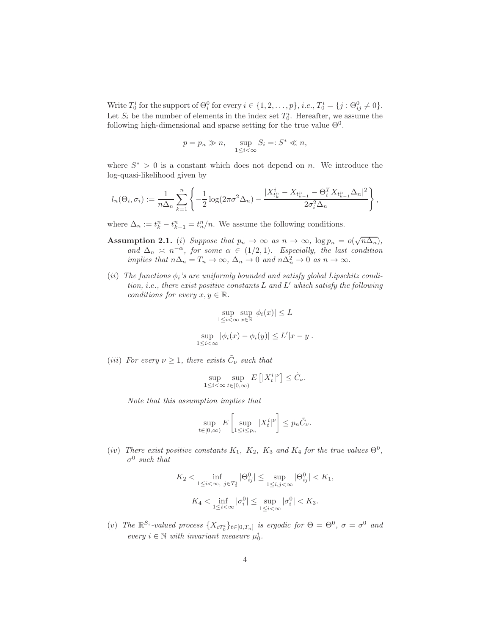Write  $T_0^i$  for the support of  $\Theta_i^0$  for every  $i \in \{1, 2, \ldots, p\}$ , *i.e.*,  $T_0^i = \{j : \Theta_{ij}^0 \neq 0\}$ . Let  $S_i$  be the number of elements in the index set  $T_0^i$ . Hereafter, we assume the following high-dimensional and sparse setting for the true value  $\Theta^0$ .

$$
p = p_n \gg n, \quad \sup_{1 \le i < \infty} S_i =: S^* \ll n,
$$

where  $S^* > 0$  is a constant which does not depend on n. We introduce the log-quasi-likelihood given by

$$
l_n(\Theta_i, \sigma_i) := \frac{1}{n\Delta_n} \sum_{k=1}^n \left\{ -\frac{1}{2} \log(2\pi \sigma^2 \Delta_n) - \frac{|X_{t_k^n}^i - X_{t_{k-1}^n} - \Theta_i^T X_{t_{k-1}^n} \Delta_n|^2}{2\sigma_i^2 \Delta_n} \right\},
$$

where  $\Delta_n := t_k^n - t_{k-1}^n = t_n^n/n$ . We assume the following conditions.

- Assumption 2.1. (i) Suppose that  $p_n \to \infty$  as  $n \to \infty$ ,  $\log p_n = o(\sqrt{n\Delta_n})$ , and  $\Delta_n \geq n^{-\alpha}$ , for some  $\alpha \in (1/2, 1)$ . Especially, the last condition implies that  $n\Delta_n = T_n \to \infty$ ,  $\Delta_n \to 0$  and  $n\Delta_n^2 \to 0$  as  $n \to \infty$ .
- (ii) The functions  $\phi_i$ 's are uniformly bounded and satisfy global Lipschitz condition, i.e., there exist positive constants  $L$  and  $L'$  which satisfy the following conditions for every  $x, y \in \mathbb{R}$ .

$$
\sup_{1 \le i < \infty} \sup_{x \in \mathbb{R}} |\phi_i(x)| \le L
$$
  
\n
$$
\sup_{1 \le i < \infty} |\phi_i(x) - \phi_i(y)| \le L'|x - y|.
$$
  
\n
$$
\sup_{1 \le i < \infty} |\phi_i(x) - \phi_i(y)| \le L'|x - y|.
$$

(iii) For every  $\nu \geq 1$ , there exists  $\tilde{C}_{\nu}$  such that

$$
\sup_{\leq i < \infty} \sup_{t \in [0, \infty)} E\left[ |X_t^i|^{\nu} \right] \leq \tilde{C}_{\nu}.
$$

Note that this assumption implies that

 $\overline{1}$ 

$$
\sup_{t\in[0,\infty)} E\left[\sup_{1\leq i\leq p_n} |X_t^i|^{\nu}\right] \leq p_n \tilde{C}_{\nu}.
$$

(iv) There exist positive constants  $K_1$ ,  $K_2$ ,  $K_3$  and  $K_4$  for the true values  $\Theta^0$ ,  $\sigma^0$  such that

$$
K_2 < \inf_{1 \le i < \infty, \ j \in T_0^i} |\Theta_{ij}^0| \le \sup_{1 \le i, j < \infty} |\Theta_{ij}^0| < K_1,
$$
\n
$$
K_4 < \inf_{1 \le i < \infty} |\sigma_i^0| \le \sup_{1 \le i < \infty} |\sigma_i^0| < K_3.
$$

(v) The  $\mathbb{R}^{S_i}$ -valued process  $\{X_{tT_0^i}\}_{t\in[0,T_n]}$  is ergodic for  $\Theta = \Theta^0$ ,  $\sigma = \sigma^0$  and every  $i \in \mathbb{N}$  with invariant measure  $\mu_0^i$ .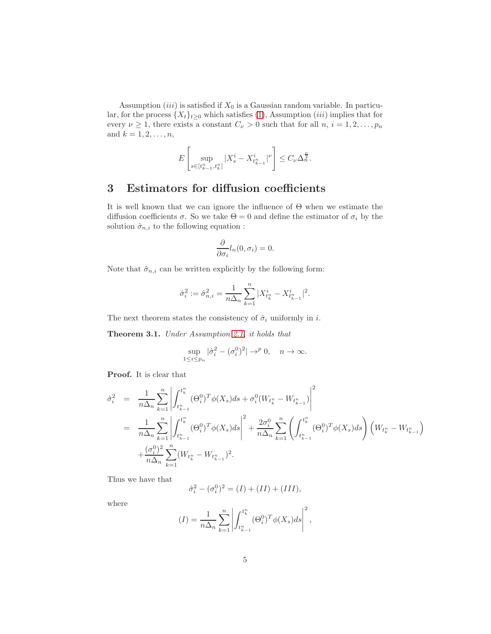Assumption (iii) is satisfied if  $X_0$  is a Gaussian random variable. In particular, for the process  $\{X_t\}_{t\geq0}$  which satisfies [\(1\)](#page-0-0), Assumption (*iii*) implies that for every  $\nu \geq 1$ , there exists a constant  $C_{\nu} > 0$  such that for all  $n, i = 1, 2, ..., p_n$ and  $k = 1, 2, ..., n$ ,

$$
E\left[\sup_{s\in[t_{k-1}^n,t_k^n]}|X_s^i-X_{t_{k-1}^n}^i|^\nu\right]\leq C_\nu\Delta_n^{\frac{\nu}{2}}.
$$

### 3 Estimators for diffusion coefficients

It is well known that we can ignore the influence of Θ when we estimate the diffusion coefficients  $\sigma$ . So we take  $\Theta = 0$  and define the estimator of  $\sigma_i$  by the solution  $\hat{\sigma}_{n,i}$  to the following equation :

$$
\frac{\partial}{\partial \sigma_i} l_n(0, \sigma_i) = 0.
$$

Note that  $\hat{\sigma}_{n,i}$  can be written explicitly by the following form:

$$
\hat{\sigma}_i^2 := \hat{\sigma}_{n,i}^2 = \frac{1}{n\Delta_n} \sum_{k=1}^n |X_{t_k^n}^i - X_{t_{k-1}^n}^i|^2.
$$

The next theorem states the consistency of  $\hat{\sigma}_i$  uniformly in *i*.

<span id="page-4-0"></span>Theorem 3.1. Under Assumption 2.1, it holds that

$$
\sup_{1 \le i \le p_n} |\hat{\sigma}_i^2 - (\sigma_i^0)^2| \to^p 0, \quad n \to \infty.
$$

Proof. It is clear that

$$
\hat{\sigma}_{i}^{2} = \frac{1}{n\Delta_{n}} \sum_{k=1}^{n} \left| \int_{t_{k-1}^{n}}^{t_{k}^{n}} (\Theta_{i}^{0})^{T} \phi(X_{s}) ds + \sigma_{i}^{0} (W_{t_{k}^{n}} - W_{t_{k-1}^{n}}) \right|^{2}
$$
\n
$$
= \frac{1}{n\Delta_{n}} \sum_{k=1}^{n} \left| \int_{t_{k-1}^{n}}^{t_{k}^{n}} (\Theta_{i}^{0})^{T} \phi(X_{s}) ds \right|^{2} + \frac{2\sigma_{i}^{0}}{n\Delta_{n}} \sum_{k=1}^{n} \left( \int_{t_{k-1}^{n}}^{t_{k}^{n}} (\Theta_{i}^{0})^{T} \phi(X_{s}) ds \right) (W_{t_{k}^{n}} - W_{t_{k-1}^{n}})
$$
\n
$$
+ \frac{(\sigma_{i}^{0})^{2}}{n\Delta_{n}} \sum_{k=1}^{n} (W_{t_{k}^{n}} - W_{t_{k-1}^{n}})^{2}.
$$

Thus we have that

$$
\hat{\sigma}_i^2 - (\sigma_i^0)^2 = (I) + (II) + (III),
$$

where

$$
(I) = \frac{1}{n\Delta_n} \sum_{k=1}^n \left| \int_{t_{k-1}^n}^{t_k^n} (\Theta_i^0)^T \phi(X_s) ds \right|^2,
$$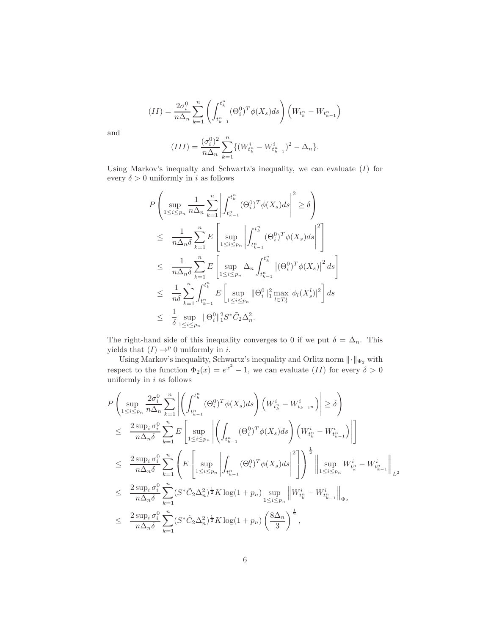$$
(II) = \frac{2\sigma_i^0}{n\Delta_n} \sum_{k=1}^n \left( \int_{t_{k-1}^n}^{t_k^n} (\Theta_i^0)^T \phi(X_s) ds \right) \left( W_{t_k^n} - W_{t_{k-1}^n} \right)
$$

$$
(III) = \frac{(\sigma_i^0)^2}{n\Delta_n} \sum_{k=1}^n \left\{ \left( W_{t_k^n}^i - W_{t_{k-1}^n}^i \right)^2 - \Delta_n \right\}.
$$

and

Using Markov's inequality and Schwartz's inequality, we can evaluate 
$$
(I)
$$
 for every  $\delta > 0$  uniformly in  $i$  as follows

$$
P\left(\sup_{1\leq i\leq p_n} \frac{1}{n\Delta_n} \sum_{k=1}^n \left| \int_{t_{k-1}^n}^{t_k^n} (\Theta_i^0)^T \phi(X_s) ds \right|^2 \geq \delta \right)
$$
  
\n
$$
\leq \frac{1}{n\Delta_n \delta} \sum_{k=1}^n E\left[\sup_{1\leq i\leq p_n} \left| \int_{t_{k-1}^n}^{t_k^n} (\Theta_i^0)^T \phi(X_s) ds \right|^2 \right]
$$
  
\n
$$
\leq \frac{1}{n\Delta_n \delta} \sum_{k=1}^n E\left[\sup_{1\leq i\leq p_n} \Delta_n \int_{t_{k-1}^n}^{t_k^n} |(\Theta_i^0)^T \phi(X_s)|^2 ds \right]
$$
  
\n
$$
\leq \frac{1}{n\delta} \sum_{k=1}^n \int_{t_{k-1}^n}^{t_k^n} E\left[\sup_{1\leq i\leq p_n} \|\Theta_i^0\|_1^2 \max_{l\in T_0^i} |\phi_l(X_s^l)|^2 \right] ds
$$
  
\n
$$
\leq \frac{1}{\delta} \sup_{1\leq i\leq p_n} \|\Theta_i^0\|_1^2 S^* \tilde{C}_2 \Delta_n^2.
$$

The right-hand side of this inequality converges to 0 if we put  $\delta = \Delta_n$ . This yields that  $(I) \rightarrow^p 0$  uniformly in *i*.

Using Markov's inequality, Schwartz's inequality and Orlitz norm  $\lVert \cdot \rVert_{\Phi_2}$  with respect to the function  $\Phi_2(x) = e^{x^2} - 1$ , we can evaluate  $(II)$  for every  $\delta > 0$ uniformly in  $i$  as follows

$$
P\left(\sup_{1\leq i\leq p_n} \frac{2\sigma_i^0}{n\Delta_n} \sum_{k=1}^n \left| \left( \int_{t_{k-1}^n}^{t_k^n} (\Theta_i^0)^T \phi(X_s) ds \right) \left( W_{t_k^n}^i - W_{t_{k-1}^n}^i \right) \right| \geq \delta \right)
$$
  
\n
$$
\leq \frac{2 \sup_i \sigma_i^0}{n\Delta_n \delta} \sum_{k=1}^n E\left[\sup_{1\leq i\leq p_n} \left| \left( \int_{t_{k-1}^n} (\Theta_i^0)^T \phi(X_s) ds \right) \left( W_{t_k^n}^i - W_{t_{k-1}^n}^i \right) \right| \right]
$$
  
\n
$$
\leq \frac{2 \sup_i \sigma_i^0}{n\Delta_n \delta} \sum_{k=1}^n \left( E\left[\sup_{1\leq i\leq p_n} \left| \int_{t_{k-1}^n} (\Theta_i^0)^T \phi(X_s) ds \right|^2 \right] \right)^{\frac{1}{2}} \left\| \sup_{1\leq i\leq p_n} W_{t_k^n}^i - W_{t_{k-1}^n}^i \right\|_{L^2}
$$
  
\n
$$
\leq \frac{2 \sup_i \sigma_i^0}{n\Delta_n \delta} \sum_{k=1}^n (S^* \tilde{C}_2 \Delta_n^2)^{\frac{1}{2}} K \log(1 + p_n) \sup_{1\leq i\leq p_n} \left\| W_{t_k^n}^i - W_{t_{k-1}^n}^i \right\|_{\Phi_2}
$$
  
\n
$$
\leq \frac{2 \sup_i \sigma_i^0}{n\Delta_n \delta} \sum_{k=1}^n (S^* \tilde{C}_2 \Delta_n^2)^{\frac{1}{2}} K \log(1 + p_n) \left( \frac{8\Delta_n}{3} \right)^{\frac{1}{2}},
$$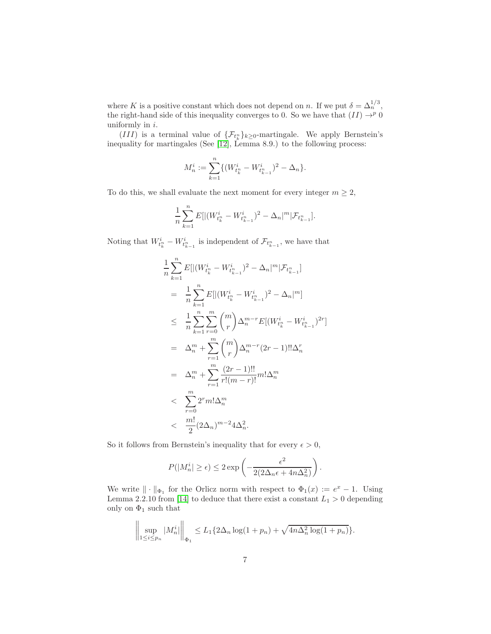where K is a positive constant which does not depend on n. If we put  $\delta = \Delta_n^{1/3}$ , the right-hand side of this inequality converges to 0. So we have that  $(II) \rightarrow p 0$ uniformly in  $i$ .

(III) is a terminal value of  $\{\mathcal{F}_{t_k^n}\}_{k\geq 0}$ -martingale. We apply Bernstein's inequality for martingales (See [12], Lemma 8.9.) to the following process:

$$
M_n^i := \sum_{k=1}^n \{ (W_{t_k^n}^i - W_{t_{k-1}^n}^i)^2 - \Delta_n \}.
$$

To do this, we shall evaluate the next moment for every integer  $m \geq 2$ ,

$$
\frac{1}{n}\sum_{k=1}^n E[|(W^{i}_{t_k^n}-W^{i}_{t_{k-1}^n})^2-\Delta_n|^m|\mathcal{F}_{t_{k-1}^n}].
$$

Noting that  $W_{t_k^n}^i - W_{t_{k-1}^n}^i$  is independent of  $\mathcal{F}_{t_{k-1}^n}$ , we have that

$$
\frac{1}{n} \sum_{k=1}^{n} E[|(W_{t_k^n}^i - W_{t_{k-1}^n}^i)^2 - \Delta_n|^m | \mathcal{F}_{t_{k-1}^n}]
$$
\n
$$
= \frac{1}{n} \sum_{k=1}^{n} E[|(W_{t_k^n}^i - W_{t_{k-1}^n}^i)^2 - \Delta_n|^m]
$$
\n
$$
\leq \frac{1}{n} \sum_{k=1}^{n} \sum_{r=0}^{m} {m \choose r} \Delta_n^{m-r} E[(W_{t_k^n}^i - W_{t_{k-1}^n}^i)^{2r}]
$$
\n
$$
= \Delta_n^m + \sum_{r=1}^{m} {m \choose r} \Delta_n^{m-r} (2r - 1)!! \Delta_n^r
$$
\n
$$
= \Delta_n^m + \sum_{r=1}^{m} \frac{(2r - 1)!!}{r!(m - r)!} m! \Delta_n^m
$$
\n
$$
< \sum_{r=0}^{m} 2^r m! \Delta_n^m
$$
\n
$$
< \frac{m!}{2} (2\Delta_n)^{m-2} 4\Delta_n^2.
$$

So it follows from Bernstein's inequality that for every  $\epsilon > 0$ ,

$$
P(|M_n^i| \ge \epsilon) \le 2 \exp\left(-\frac{\epsilon^2}{2(2\Delta_n \epsilon + 4n\Delta_n^2)}\right).
$$

We write  $\|\cdot\|_{\Phi_1}$  for the Orlicz norm with respect to  $\Phi_1(x) := e^x - 1$ . Using Lemma 2.2.10 from [14] to deduce that there exist a constant  $L_1 > 0$  depending only on  $\Phi_1$  such that

$$
\left\| \sup_{1 \le i \le p_n} |M_n^i| \right\|_{\Phi_1} \le L_1 \{ 2\Delta_n \log(1 + p_n) + \sqrt{4n\Delta_n^2 \log(1 + p_n)} \}.
$$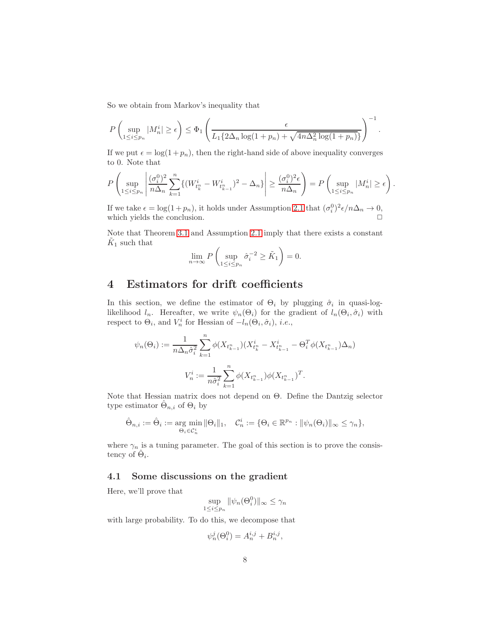So we obtain from Markov's inequality that

$$
P\left(\sup_{1\leq i\leq p_n}|M_n^i|\geq \epsilon\right)\leq \Phi_1\left(\frac{\epsilon}{L_1\{2\Delta_n \log(1+p_n)+\sqrt{4n\Delta_n^2\log(1+p_n)}\}}\right)^{-1}
$$

.

If we put  $\epsilon = \log(1 + p_n)$ , then the right-hand side of above inequality converges to 0. Note that

$$
P\left(\sup_{1\leq i\leq p_n}\left|\frac{(\sigma_i^0)^2}{n\Delta_n}\sum_{k=1}^n\{(W_{t_k^n}^i-W_{t_{k-1}^n}^i)^2-\Delta_n\}\right|\geq \frac{(\sigma_i^0)^2\epsilon}{n\Delta_n}\right)=P\left(\sup_{1\leq i\leq p_n}|M_n^i|\geq \epsilon\right).
$$

If we take  $\epsilon = \log(1 + p_n)$ , it holds under Assumption 2.1 that  $(\sigma_i^0)^2 \epsilon / n \Delta_n \to 0$ , which yields the conclusion.

Note that Theorem [3.1](#page-4-0) and Assumption 2.1 imply that there exists a constant  $\tilde{K}_1$  such that

$$
\lim_{n \to \infty} P\left(\sup_{1 \le i \le p_n} \hat{\sigma}_i^{-2} \ge \tilde{K}_1\right) = 0.
$$

### 4 Estimators for drift coefficients

In this section, we define the estimator of  $\Theta_i$  by plugging  $\hat{\sigma}_i$  in quasi-loglikelihood  $l_n$ . Hereafter, we write  $\psi_n(\Theta_i)$  for the gradient of  $l_n(\Theta_i, \hat{\sigma}_i)$  with respect to  $\Theta_i$ , and  $V_n^i$  for Hessian of  $-l_n(\Theta_i, \hat{\sigma}_i)$ , *i.e.*,

$$
\psi_n(\Theta_i) := \frac{1}{n \Delta_n \hat{\sigma}_i^2} \sum_{k=1}^n \phi(X_{t_{k-1}^n})(X_{t_k^n}^i - X_{t_{k-1}^n}^i - \Theta_i^T \phi(X_{t_{k-1}^n})\Delta_n)
$$

$$
V_n^i := \frac{1}{n \hat{\sigma}_i^2} \sum_{k=1}^n \phi(X_{t_{k-1}^n}) \phi(X_{t_{k-1}^n})^T.
$$

Note that Hessian matrix does not depend on Θ. Define the Dantzig selector type estimator  $\hat{\Theta}_{n,i}$  of  $\Theta_i$  by

$$
\hat{\Theta}_{n,i} := \hat{\Theta}_i := \underset{\Theta_i \in \mathcal{C}_n^i}{\arg \min} \|\Theta_i\|_1, \quad \mathcal{C}_n^i := \{\Theta_i \in \mathbb{R}^{p_n} : \|\psi_n(\Theta_i)\|_{\infty} \le \gamma_n\},\
$$

where  $\gamma_n$  is a tuning parameter. The goal of this section is to prove the consistency of  $\hat{\Theta}_i$ .

#### 4.1 Some discussions on the gradient

Here, we'll prove that

$$
\sup_{1 \le i \le p_n} \|\psi_n(\Theta_i^0)\|_{\infty} \le \gamma_n
$$

with large probability. To do this, we decompose that

$$
\psi_n^j(\Theta_i^0) = A_n^{i,j} + B_n^{i,j},
$$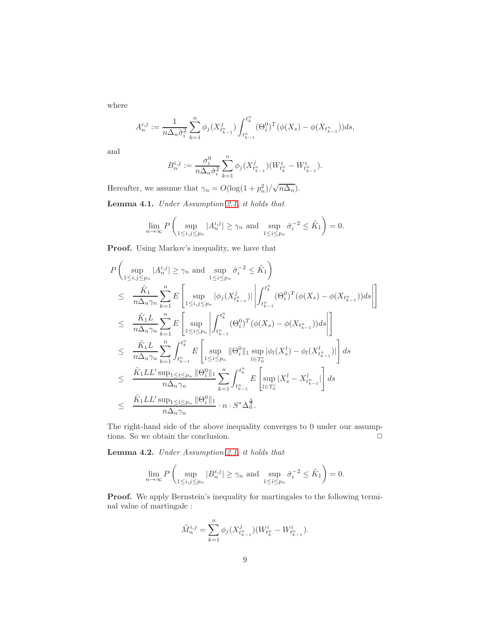where

$$
A_n^{i,j} := \frac{1}{n\Delta_n \hat{\sigma}_i^2} \sum_{k=1}^n \phi_j(X_{t_{k-1}^n}^j) \int_{t_{k-1}^n}^{t_k^n} (\Theta_i^0)^T (\phi(X_s) - \phi(X_{t_{k-1}^n})) ds,
$$

and

$$
B_n^{i,j} := \frac{\sigma_i^0}{n \Delta_n \hat{\sigma}_i^2} \sum_{k=1}^n \phi_j (X_{t_{k-1}}^j)(W_{t_k^n}^i - W_{t_{k-1}^n}^i).
$$

Hereafter, we assume that  $\gamma_n = O(\log(1 + p_n^2)/\sqrt{n\Delta_n})$ .

<span id="page-8-0"></span>Lemma 4.1. Under Assumption 2.1, it holds that

$$
\lim_{n \to \infty} P\left(\sup_{1 \le i,j \le p_n} |A_n^{i,j}| \ge \gamma_n \text{ and } \sup_{1 \le i \le p_n} \hat{\sigma}_i^{-2} \le \tilde{K}_1\right) = 0.
$$

Proof. Using Markov's inequality, we have that

$$
P\left(\sup_{1\leq i,j\leq p_n}|A_n^{i,j}| \geq \gamma_n \text{ and } \sup_{1\leq i\leq p_n} \hat{\sigma}_i^{-2} \leq \tilde{K}_1\right)
$$
  
\n
$$
\leq \frac{\tilde{K}_1}{n\Delta_n\gamma_n} \sum_{k=1}^n E\left[\sup_{1\leq i,j\leq p_n}|\phi_j(X_{t_{k-1}^n}^j)| \left| \int_{t_{k-1}^n}^{t_k^n} (\Theta_i^0)^T (\phi(X_s) - \phi(X_{t_{k-1}^n})) ds \right| \right]
$$
  
\n
$$
\leq \frac{\tilde{K}_1 L}{n\Delta_n\gamma_n} \sum_{k=1}^n E\left[\sup_{1\leq i\leq p_n} \left| \int_{t_{k-1}^n}^{t_k^n} (\Theta_i^0)^T (\phi(X_s) - \phi(X_{t_{k-1}^n})) ds \right| \right]
$$
  
\n
$$
\leq \frac{\tilde{K}_1 L}{n\Delta_n\gamma_n} \sum_{k=1}^n \int_{t_{k-1}^n}^{t_k^n} E\left[\sup_{1\leq i\leq p_n} ||\Theta_i^0||_1 \sup_{l\in T_0^i} |\phi_l(X_s^l) - \phi_l(X_{t_{k-1}^n}^l)| \right] ds
$$
  
\n
$$
\leq \frac{\tilde{K}_1 LL' \sup_{1\leq i\leq p_n} ||\Theta_i^0||_1}{n\Delta_n\gamma_n} \sum_{k=1}^n \int_{t_{k-1}^n}^{t_k^n} E\left[\sup_{l\in T_0^i} |X_s^l - X_{t_{k-1}^n}^l| \right] ds
$$
  
\n
$$
\leq \frac{\tilde{K}_1 LL' \sup_{1\leq i\leq p_n} ||\Theta_i^0||_1}{n\Delta_n\gamma_n} \cdot n \cdot S^* \Delta_n^{\frac{3}{2}}.
$$

The right-hand side of the above inequality converges to 0 under our assumptions. So we obtain the conclusion.  $\Box$ 

<span id="page-8-1"></span>Lemma 4.2. Under Assumption 2.1, it holds that

$$
\lim_{n \to \infty} P\left(\sup_{1 \le i,j \le p_n} |B_n^{i,j}| \ge \gamma_n \text{ and } \sup_{1 \le i \le p_n} \hat{\sigma}_i^{-2} \le \tilde{K}_1\right) = 0.
$$

Proof. We apply Bernstein's inequality for martingales to the following terminal value of martingale :

$$
\tilde{M}_n^{i,j} = \sum_{k=1}^n \phi_j (X^j_{t_{k-1}^n}) (W^i_{t_k^n} - W^i_{t_{k-1}^n}).
$$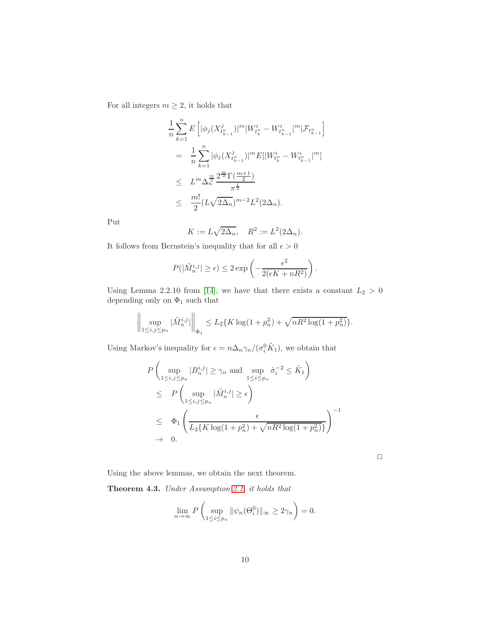For all integers  $m \geq 2$ , it holds that

$$
\frac{1}{n} \sum_{k=1}^{n} E\left[ |\phi_j(X_{t_{k-1}^n}^j)|^m |W_{t_k^n}^i - W_{t_{k-1}^n}^i|^m | \mathcal{F}_{t_{k-1}^n} \right]
$$
\n
$$
= \frac{1}{n} \sum_{k=1}^{n} |\phi_j(X_{t_{k-1}^n}^j)|^m E[|W_{t_k^n}^i - W_{t_{k-1}^n}^i|^m]
$$
\n
$$
\leq L^m \Delta_n^{\frac{m}{2}} \frac{2^{\frac{m}{2}} \Gamma(\frac{m+1}{2})}{\pi^{\frac{1}{2}}}
$$
\n
$$
\leq \frac{m!}{2} (L \sqrt{2\Delta_n})^{m-2} L^2(2\Delta_n).
$$

Put

$$
K := L\sqrt{2\Delta_n}, \quad R^2 := L^2(2\Delta_n).
$$

It follows from Bernstein's inequality that for all  $\epsilon>0$ 

$$
P(|\tilde{M}_n^{i,j}| \ge \epsilon) \le 2 \exp\left(-\frac{\epsilon^2}{2(\epsilon K + nR^2)}\right).
$$

Using Lemma 2.2.10 from [14], we have that there exists a constant  $L_2 > 0$ depending only on  $\Phi_1$  such that

$$
\left\| \sup_{1 \le i,j \le p_n} |\tilde{M}_n^{i,j}| \right\|_{\Phi_1} \le L_2 \{ K \log(1+p_n^2) + \sqrt{nR^2 \log(1+p_n^2)} \}.
$$

Using Markov's inequality for  $\epsilon = n \Delta_n \gamma_n / (\sigma_i^0 \tilde{K}_1)$ , we obtain that

$$
P\left(\sup_{1\leq i,j\leq p_n} |B_n^{i,j}| \geq \gamma_n \text{ and } \sup_{1\leq i\leq p_n} \hat{\sigma}_i^{-2} \leq \tilde{K}_1\right)
$$
  
\n
$$
\leq P\left(\sup_{1\leq i,j\leq p_n} |\tilde{M}_n^{i,j}| \geq \epsilon\right)
$$
  
\n
$$
\leq \Phi_1\left(\frac{\epsilon}{L_2\{K\log(1+p_n^2)+\sqrt{nR^2\log(1+p_n^2)}\}}\right)^{-1}
$$
  
\n
$$
\to 0.
$$

 $\Box$ 

Using the above lemmas, we obtain the next theorem.

Theorem 4.3. Under Assumption 2.1, it holds that

$$
\lim_{n \to \infty} P\left(\sup_{1 \le i \le p_n} \|\psi_n(\Theta_i^0)\|_{\infty} \ge 2\gamma_n\right) = 0.
$$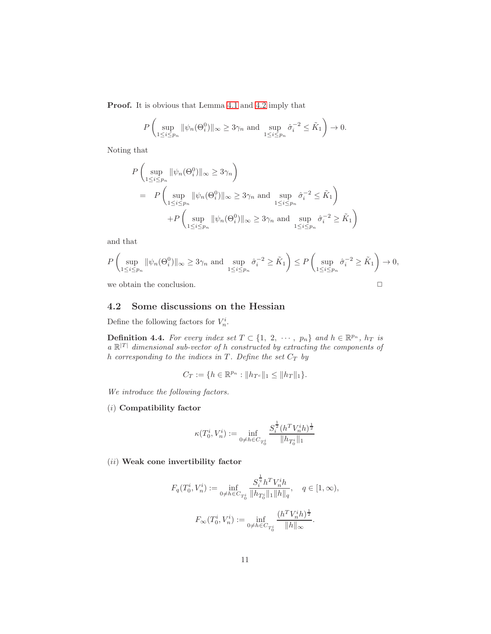Proof. It is obvious that Lemma [4.1](#page-8-0) and [4.2](#page-8-1) imply that

$$
P\left(\sup_{1\leq i\leq p_n} \|\psi_n(\Theta_i^0)\|_{\infty}\geq 3\gamma_n \text{ and } \sup_{1\leq i\leq p_n} \hat{\sigma}_i^{-2}\leq \tilde{K}_1\right)\to 0.
$$

Noting that

$$
P\left(\sup_{1\leq i\leq p_n} \|\psi_n(\Theta_i^0)\|_{\infty} \geq 3\gamma_n\right)
$$
  
= 
$$
P\left(\sup_{1\leq i\leq p_n} \|\psi_n(\Theta_i^0)\|_{\infty} \geq 3\gamma_n \text{ and } \sup_{1\leq i\leq p_n} \hat{\sigma}_i^{-2} \leq \tilde{K}_1\right)
$$
  
+
$$
P\left(\sup_{1\leq i\leq p_n} \|\psi_n(\Theta_i^0)\|_{\infty} \geq 3\gamma_n \text{ and } \sup_{1\leq i\leq p_n} \hat{\sigma}_i^{-2} \geq \tilde{K}_1\right)
$$

and that

$$
P\left(\sup_{1\leq i\leq p_n} \|\psi_n(\Theta_i^0)\|_{\infty}\geq 3\gamma_n \text{ and } \sup_{1\leq i\leq p_n} \hat{\sigma}_i^{-2} \geq \tilde{K}_1\right) \leq P\left(\sup_{1\leq i\leq p_n} \hat{\sigma}_i^{-2} \geq \tilde{K}_1\right) \to 0,
$$

we obtain the conclusion.  $\Box$ 

#### 4.2 Some discussions on the Hessian

Define the following factors for  $V_n^i$ .

**Definition 4.4.** For every index set  $T \subset \{1, 2, \cdots, p_n\}$  and  $h \in \mathbb{R}^{p_n}$ ,  $h_T$  is  $a \mathbb{R}^{|T|}$  dimensional sub-vector of h constructed by extracting the components of h corresponding to the indices in  $T$ . Define the set  $C_T$  by

$$
C_T := \{ h \in \mathbb{R}^{p_n} : \| h_{T^c} \|_1 \leq \| h_T \|_1 \}.
$$

We introduce the following factors.

(i) Compatibility factor

$$
\kappa(T_0^i,V_n^i):=\inf_{0\neq h\in C_{T_0^i}}\frac{S_i^\frac{1}{2}(h^TV_n^ih)^\frac{1}{2}}{\|h_{T_0^i}\|_1}
$$

 $(ii)$  Weak cone invertibility factor

$$
F_q(T_0^i, V_n^i) := \inf_{0 \neq h \in C_{T_0^i}} \frac{S_i^{\frac{1}{q}} h^T V_n^i h}{\|h_{T_0^i}\|_1 \|h\|_q}, \quad q \in [1, \infty),
$$
  

$$
F_{\infty}(T_0^i, V_n^i) := \inf_{0 \neq h \in C_{T_0^i}} \frac{(h^T V_n^i h)^{\frac{1}{2}}}{\|h\|_{\infty}}.
$$

1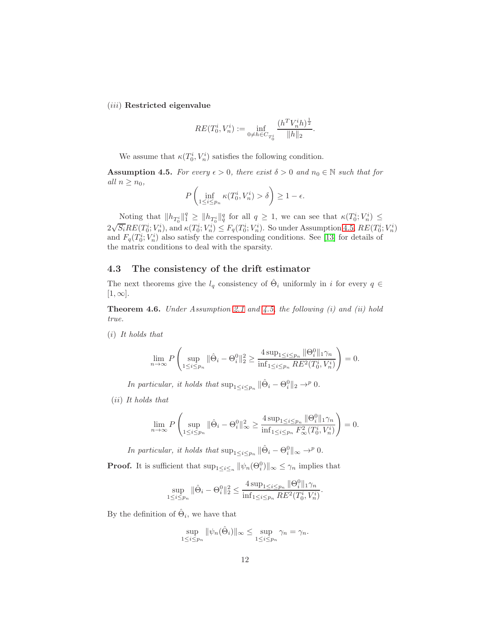(iii) Restricted eigenvalue

$$
RE(T_0^i,V_n^i):=\inf_{0\neq h\in C_{T_0^i}}\frac{(h^TV_n^ih)^{\frac{1}{2}}}{\|h\|_2}.
$$

We assume that  $\kappa(T_0^i, V_n^i)$  satisfies the following condition.

<span id="page-11-0"></span>**Assumption 4.5.** For every  $\epsilon > 0$ , there exist  $\delta > 0$  and  $n_0 \in \mathbb{N}$  such that for all  $n \geq n_0$ ,

$$
P\left(\inf_{1\leq i\leq p_n} \kappa(T_0^i, V_n^i) > \delta\right) \geq 1 - \epsilon.
$$

Noting that  $||h_{T_0^i}||_1^q \ge ||h_{T_0^i}||_q^q$  for all  $q \ge 1$ , we can see that  $\kappa(T_0^i; V_n^i) \le$  $2\sqrt{S_i}RE(T_0^i; V_n^i)$ , and  $\kappa(T_0^i; V_n^i) \leq F_q(T_0^i; V_n^i)$ . So under Assumption [4.5,](#page-11-0)  $RE(T_0^i; V_n^i)$ and  $F_q(T_0^i; V_n^i)$  also satisfy the corresponding conditions. See [13] for details of the matrix conditions to deal with the sparsity.

#### 4.3 The consistency of the drift estimator

The next theorems give the  $l_q$  consistency of  $\hat{\Theta}_i$  uniformly in i for every  $q \in$  $[1, \infty]$ .

<span id="page-11-1"></span>**Theorem 4.6.** Under Assumption 2.1 and  $\ddot{4}$ .5, the following (i) and (ii) hold true.

(i) It holds that

$$
\lim_{n \to \infty} P\left(\sup_{1 \le i \le p_n} \|\hat{\Theta}_i - \Theta_i^0\|_2^2 \ge \frac{4 \sup_{1 \le i \le p_n} \|\Theta_i^0\|_1 \gamma_n}{\inf_{1 \le i \le p_n} RE^2(T_0^i, V_n^i)}\right) = 0.
$$

In particular, it holds that  $\sup_{1 \leq i \leq p_n} \|\hat{\Theta}_i - \Theta_i^0\|_2 \to^p 0$ .

(ii) It holds that

$$
\lim_{n \to \infty} P\left(\sup_{1 \le i \le p_n} \|\hat{\Theta}_i - \Theta_i^0\|_{\infty}^2 \ge \frac{4 \sup_{1 \le i \le p_n} \|\Theta_i^0\|_1 \gamma_n}{\inf_{1 \le i \le p_n} F_{\infty}^2(T_0^i, V_n^i)}\right) = 0.
$$

In particular, it holds that  $\sup_{1 \leq i \leq p_n} \|\hat{\Theta}_i - \Theta_i^0\|_{\infty} \to^p 0$ .

**Proof.** It is sufficient that  $\sup_{1 \leq i \leq n} ||\psi_n(\Theta_i^0)||_{\infty} \leq \gamma_n$  implies that

$$
\sup_{1 \leq i \leq p_n} \|\hat{\Theta}_i - {\Theta}_i^0\|_2^2 \leq \frac{4 \sup_{1 \leq i \leq p_n} \|{\Theta}_i^0\|_1 \gamma_n}{\inf_{1 \leq i \leq p_n} RE^2(T_0^i, V_n^i)}.
$$

By the definition of  $\hat{\Theta}_i$ , we have that

$$
\sup_{1 \le i \le p_n} \|\psi_n(\hat{\Theta}_i)\|_{\infty} \le \sup_{1 \le i \le p_n} \gamma_n = \gamma_n.
$$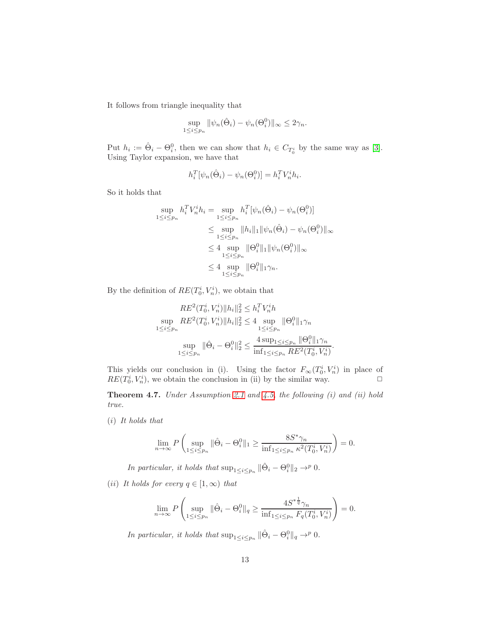It follows from triangle inequality that

$$
\sup_{1 \leq i \leq p_n} \|\psi_n(\hat{\Theta}_i) - \psi_n(\Theta_i^0)\|_{\infty} \leq 2\gamma_n.
$$

Put  $h_i := \hat{\Theta}_i - \Theta_i^0$ , then we can show that  $h_i \in C_{T_0^i}$  by the same way as [3]. Using Taylor expansion, we have that

$$
h_i^T[\psi_n(\hat{\Theta}_i) - \psi_n(\Theta_i^0)] = h_i^T V_n^i h_i.
$$

So it holds that

$$
\sup_{1 \le i \le p_n} h_i^T V_n^i h_i = \sup_{1 \le i \le p_n} h_i^T [\psi_n(\hat{\Theta}_i) - \psi_n(\Theta_i^0)]
$$
  

$$
\le \sup_{1 \le i \le p_n} \|h_i\|_1 \|\psi_n(\hat{\Theta}_i) - \psi_n(\Theta_i^0)\|_{\infty}
$$
  

$$
\le 4 \sup_{1 \le i \le p_n} \|\Theta_i^0\|_1 \|\psi_n(\Theta_i^0)\|_{\infty}
$$
  

$$
\le 4 \sup_{1 \le i \le p_n} \|\Theta_i^0\|_1 \gamma_n.
$$

By the definition of  $RE(T_0^i, V_n^i)$ , we obtain that

$$
RE^{2}(T_{0}^{i}, V_{n}^{i})\|h_{i}\|_{2}^{2} \leq h_{i}^{T}V_{n}^{i}h
$$
  
\n
$$
\sup_{1 \leq i \leq p_{n}} RE^{2}(T_{0}^{i}, V_{n}^{i})\|h_{i}\|_{2}^{2} \leq 4 \sup_{1 \leq i \leq p_{n}} \|\Theta_{i}^{0}\|_{1} \gamma_{n}
$$
  
\n
$$
\sup_{1 \leq i \leq p_{n}} \|\hat{\Theta}_{i} - \Theta_{i}^{0}\|_{2}^{2} \leq \frac{4 \sup_{1 \leq i \leq p_{n}} \|\Theta_{i}^{0}\|_{1} \gamma_{n}}{\inf_{1 \leq i \leq p_{n}} RE^{2}(T_{0}^{i}, V_{n}^{i})}.
$$

This yields our conclusion in (i). Using the factor  $F_{\infty}(T_0^i, V_n^i)$  in place of  $RE(T_0^i, V_n^i)$ , we obtain the conclusion in (ii) by the similar way.  $\square$ 

Theorem 4.7. Under Assumption 2.1 and [4.5,](#page-11-0) the following (i) and (ii) hold true.

(i) It holds that

$$
\lim_{n \to \infty} P\left(\sup_{1 \le i \le p_n} \|\hat{\Theta}_i - \Theta_i^0\|_1 \ge \frac{8S^* \gamma_n}{\inf_{1 \le i \le p_n} \kappa^2(T_0^i, V_n^i)}\right) = 0.
$$

In particular, it holds that  $\sup_{1 \leq i \leq p_n} \|\hat{\Theta}_i - \Theta_i^0\|_2 \to^p 0$ .

(ii) It holds for every  $q \in [1,\infty)$  that

$$
\lim_{n \to \infty} P\left(\sup_{1 \le i \le p_n} \|\hat{\Theta}_i - \Theta_i^0\|_q \ge \frac{4S^{*\frac{1}{q}}\gamma_n}{\inf_{1 \le i \le p_n} F_q(T_0^i, V_n^i)}\right) = 0.
$$

In particular, it holds that  $\sup_{1 \leq i \leq p_n} \|\hat{\Theta}_i - \Theta_i^0\|_q \to^p 0$ .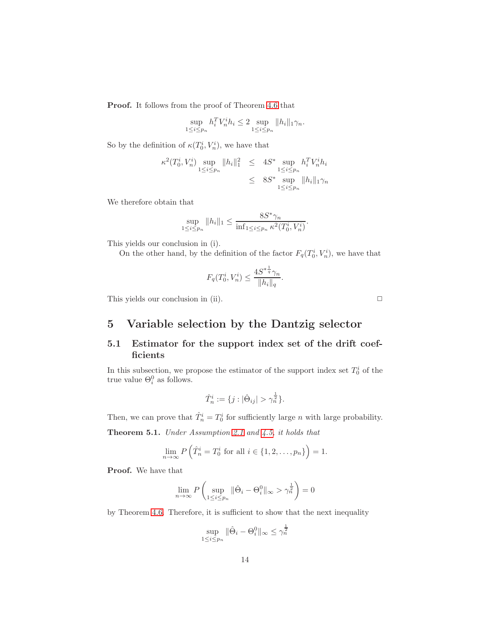Proof. It follows from the proof of Theorem [4.6](#page-11-1) that

$$
\sup_{1 \le i \le p_n} h_i^T V_n^i h_i \le 2 \sup_{1 \le i \le p_n} \|h_i\|_1 \gamma_n.
$$

So by the definition of  $\kappa(T_0^i, V_n^i)$ , we have that

$$
\kappa^2(T_0^i, V_n^i) \sup_{1 \le i \le p_n} \|h_i\|_1^2 \le 4S^* \sup_{1 \le i \le p_n} h_i^T V_n^i h_i
$$
  

$$
\le 8S^* \sup_{1 \le i \le p_n} \|h_i\|_1 \gamma_n
$$

We therefore obtain that

$$
\sup_{1 \le i \le p_n} \|h_i\|_1 \le \frac{8S^* \gamma_n}{\inf_{1 \le i \le p_n} \kappa^2(T_0^i, V_n^i)}.
$$

This yields our conclusion in (i).

On the other hand, by the definition of the factor  $F_q(T_0^i, V_n^i)$ , we have that

$$
F_q(T_0^i, V_n^i) \le \frac{4S^{*\frac{1}{q}}\gamma_n}{\|h_i\|_q}.
$$

This yields our conclusion in (ii).  $\Box$ 

## 5 Variable selection by the Dantzig selector

#### 5.1 Estimator for the support index set of the drift coefficients

In this subsection, we propose the estimator of the support index set  $T_0^i$  of the true value  $\Theta_i^0$  as follows.

$$
\hat{T}_n^i:=\{j:|\hat{\Theta}_{ij}|>\gamma_n^{\frac{1}{2}}\}.
$$

Then, we can prove that  $\hat{T}_n^i = T_0^i$  for sufficiently large *n* with large probability.

<span id="page-13-0"></span>Theorem 5.1. Under Assumption 2.1 and [4.5,](#page-11-0) it holds that

$$
\lim_{n \to \infty} P\left(\hat{T}_n^i = T_0^i \text{ for all } i \in \{1, 2, \dots, p_n\}\right) = 1.
$$

Proof. We have that

$$
\lim_{n \to \infty} P\left(\sup_{1 \le i \le p_n} \|\hat{\Theta}_i - \Theta_i^0\|_{\infty} > \gamma_n^{\frac{1}{2}}\right) = 0
$$

by Theorem [4.6.](#page-11-1) Therefore, it is sufficient to show that the next inequality

$$
\sup_{1 \le i \le p_n} \|\hat{\Theta}_i - \Theta_i^0\|_{\infty} \le \gamma_n^{\frac{1}{2}}
$$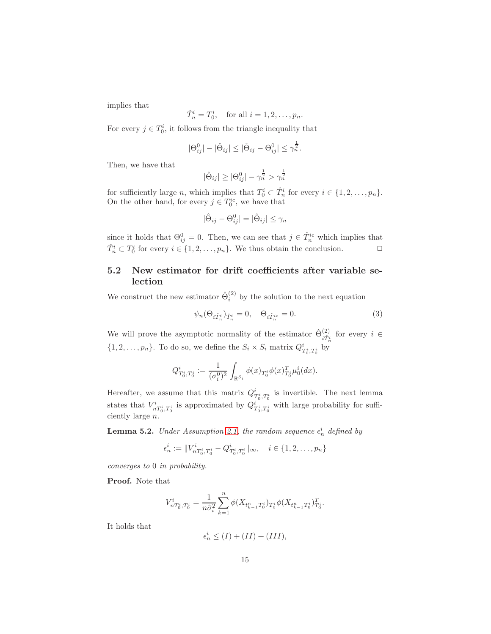implies that

$$
\hat{T}_n^i = T_0^i
$$
, for all  $i = 1, 2, ..., p_n$ .

For every  $j \in T_0^i$ , it follows from the triangle inequality that

$$
|\Theta_{ij}^0|-|\hat{\Theta}_{ij}|\leq |\hat{\Theta}_{ij}-\Theta_{ij}^0|\leq \gamma_n^{\frac{1}{2}}.
$$

Then, we have that

$$
|\hat{\Theta}_{ij}| \geq |\Theta_{ij}^0| - \gamma_n^{\frac{1}{2}} > \gamma_n^{\frac{1}{2}}
$$

for sufficiently large *n*, which implies that  $T_0^i \subset \hat{T}_n^i$  for every  $i \in \{1, 2, ..., p_n\}$ . On the other hand, for every  $j \in T_0^{ic}$ , we have that

$$
|\hat{\Theta}_{ij} - \Theta_{ij}^0| = |\hat{\Theta}_{ij}| \le \gamma_n
$$

since it holds that  $\Theta_{ij}^0 = 0$ . Then, we can see that  $j \in \hat{T}_n^{ic}$  which implies that  $\hat{T}_n^i \subset T_0^i$  for every  $i \in \{1, 2, \ldots, p_n\}$ . We thus obtain the conclusion.  $\Box$ 

### 5.2 New estimator for drift coefficients after variable selection

We construct the new estimator  $\hat{\Theta}_i^{(2)}$  by the solution to the next equation

<span id="page-14-1"></span>
$$
\psi_n(\Theta_{i\hat{T}_n^i})_{\hat{T}_n^i} = 0, \quad \Theta_{i\hat{T}_n^{ic}} = 0.
$$
\n(3)

We will prove the asymptotic normality of the estimator  $\hat{\Theta}^{(2)}_{\hat{m}}$  $\hat{i}_{i}^{(2)}$  for every  $i \in$  $\{1, 2, \ldots, p_n\}$ . To do so, we define the  $S_i \times S_i$  matrix  $Q_{T_0^i, T_0^i}^i$  by

$$
Q^i_{T^i_0,T^i_0}:=\frac{1}{(\sigma^0_i)^2}\int_{\mathbb R^{S_i}}\phi(x)_{T^i_0}\phi(x)_{T^i_0}^T\mu^i_0(dx).
$$

Hereafter, we assume that this matrix  $Q_{T_0^i, T_0^i}^i$  is invertible. The next lemma states that  $V^i_{nT^i_0,T^i_0}$  is approximated by  $Q^i_{T^i_0,T^i_0}$  with large probability for sufficiently large n.

<span id="page-14-0"></span>**Lemma 5.2.** Under Assumption 2.1, the random sequence  $\epsilon_n^i$  defined by

$$
\epsilon_n^i := \|V_{nT_0^i, T_0^i}^i - Q_{T_0^i, T_0^i}^i\|_{\infty}, \quad i \in \{1, 2, \dots, p_n\}
$$

converges to 0 in probability.

Proof. Note that

$$
V_{nT_0^i,T_0^i}^i = \frac{1}{n\hat{\sigma}_i^2}\sum_{k=1}^n \phi(X_{t_{k-1}^n T_0^i})_{T_0^i} \phi(X_{t_{k-1}^n T_0^i})_{T_0^i}^T.
$$

It holds that

$$
\epsilon_n^i \le (I) + (II) + (III),
$$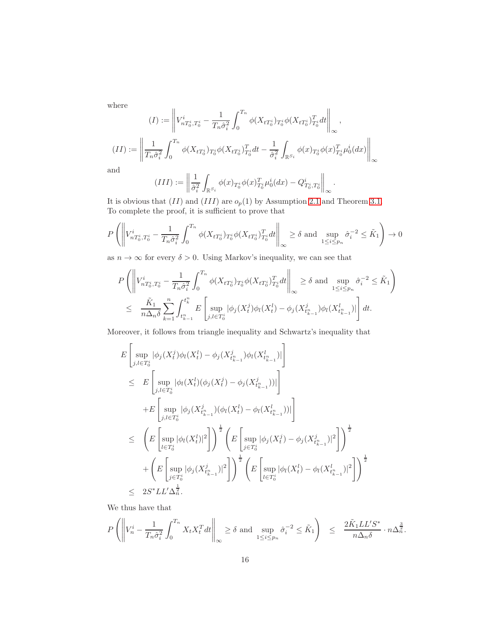where

where

\n
$$
(I) := \left\| V_{n}^{i} T_{0}^{i} T_{0}^{i} - \frac{1}{T_{n} \hat{\sigma}_{i}^{2}} \int_{0}^{T_{n}} \phi(X_{t} T_{0}^{i}) T_{0}^{i} \phi(X_{t} T_{0}^{i}) T_{0}^{i} dt \right\|_{\infty},
$$
\n
$$
(II) := \left\| \frac{1}{T_{n} \hat{\sigma}_{i}^{2}} \int_{0}^{T_{n}} \phi(X_{t} T_{0}^{i}) T_{0}^{i} \phi(X_{t} T_{0}^{i}) T_{0}^{i} dt - \frac{1}{\hat{\sigma}_{i}^{2}} \int_{\mathbb{R}^{S_{i}}} \phi(x) T_{0}^{i} \phi(x) T_{0}^{i} \mu_{0}^{i} (dx) \right\|_{\infty}
$$
\nand

and

$$
(III) := \left\| \frac{1}{\hat{\sigma}_i^2} \int_{\mathbb{R}^{S_i}} \phi(x)_{T_0^i} \phi(x)_{T_0^i}^T \mu_0^i(dx) - Q_{T_0^i, T_0^i}^i \right\|_{\infty}.
$$

It is obvious that  $(II)$  and  $(III)$  are  $o_p(1)$  by Assumption 2.1 and Theorem [3.1.](#page-4-0) To complete the proof, it is sufficient to prove that

$$
P\left(\left\|V_{nT_{0}^{i},T_{0}^{i}}^{i}-\frac{1}{T_{n}\hat{\sigma}_{i}^{2}}\int_{0}^{T_{n}}\phi(X_{tT_{0}^{i}})_{T_{0}^{i}}\phi(X_{tT_{0}^{i}})_{T_{0}^{i}}dt\right\|_{\infty}\geq\delta\text{ and }\sup_{1\leq i\leq p_{n}}\hat{\sigma}_{i}^{-2}\leq\tilde{K}_{1}\right)\to 0
$$

as  $n \to \infty$  for every  $\delta > 0$ . Using Markov's inequality, we can see that

$$
P\left(\left\|V_{nT_0^i,T_0^i}^i - \frac{1}{T_n\hat{\sigma}_i^2} \int_0^{T_n} \phi(X_{tT_0^i})_{T_0^i} \phi(X_{tT_0^i})_{T_0^i}^T dt\right\|_{\infty} \ge \delta \text{ and } \sup_{1 \le i \le p_n} \hat{\sigma}_i^{-2} \le \tilde{K}_1 \right)
$$
  

$$
\le \frac{\tilde{K}_1}{n\Delta_n\delta} \sum_{k=1}^n \int_{t_{k-1}^n}^{t_k^n} E\left[\sup_{j,l \in T_0^i} |\phi_j(X_t^j)\phi_l(X_t^l) - \phi_j(X_{t_{k-1}^n}^j)\phi_l(X_{t_{k-1}^n}^l)|\right] dt.
$$

Moreover, it follows from triangle inequality and Schwartz's inequality that

$$
E\left[\sup_{j,l\in T_0^i} |\phi_j(X_t^j)\phi_l(X_t^l) - \phi_j(X_{t_{k-1}}^j)\phi_l(X_{t_{k-1}}^l)|\right] \n\leq E\left[\sup_{j,l\in T_0^i} |\phi_l(X_t^l)(\phi_j(X_t^j) - \phi_j(X_{t_{k-1}}^j))|\right] \n+ E\left[\sup_{j,l\in T_0^i} |\phi_j(X_{t_{k-1}}^j)(\phi_l(X_t^l) - \phi_l(X_{t_{k-1}}^l))|\right] \n\leq \left(E\left[\sup_{l\in T_0^i} |\phi_l(X_t^l)|^2\right]\right)^{\frac{1}{2}} \left(E\left[\sup_{j\in T_0^i} |\phi_j(X_t^j) - \phi_j(X_{t_{k-1}}^j)|^2\right]\right)^{\frac{1}{2}} \n+ \left(E\left[\sup_{j\in T_0^i} |\phi_j(X_{t_{k-1}}^j)|^2\right]\right)^{\frac{1}{2}} \left(E\left[\sup_{l\in T_0^i} |\phi_l(X_t^l) - \phi_l(X_{t_{k-1}}^l)|^2\right]\right)^{\frac{1}{2}} \n\leq 2S^* LL' \Delta_n^{\frac{1}{2}}.
$$

We thus have that

$$
P\left(\left\|V_n^i - \frac{1}{T_n\hat{\sigma}_i^2} \int_0^{T_n} X_t X_t^T dt\right\|_{\infty} \ge \delta \text{ and } \sup_{1 \le i \le p_n} \hat{\sigma}_i^{-2} \le \tilde{K}_1\right) \le \frac{2\tilde{K}_1 LL'S^*}{n\Delta_n \delta} \cdot n\Delta_n^{\frac{3}{2}}.
$$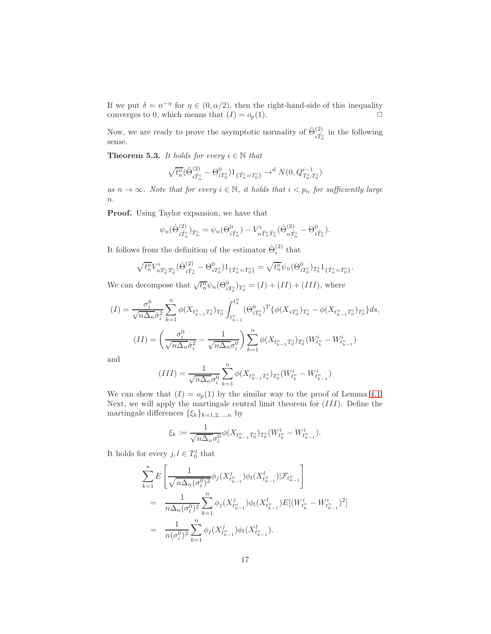If we put  $\delta = n^{-\eta}$  for  $\eta \in (0, \alpha/2)$ , then the right-hand-side of this inequality converges to 0, which means that  $(I) = o_p(1)$ .

Now, we are ready to prove the asymptotic normality of  $\hat{\Theta}^{(2)}_{\hat{\tau}\hat{\tau}^2}$  $\hat{i}_{\hat{T}_n^i}^{(2)}$  in the following sense.

**Theorem 5.3.** It holds for every  $i \in \mathbb{N}$  that

$$
\sqrt{t_n^n}(\hat{\Theta}_{i\hat{T}_n^i}^{(2)} - \Theta_{i T_0^i}^0)1_{\{\hat{T}_n^i = T_0^i\}} \to^d N(0, Q_{T_0^i, T_0^i}^{i-1})
$$

as  $n \to \infty$ . Note that for every  $i \in \mathbb{N}$ , it holds that  $i < p_n$  for sufficiently large  $\overline{n}$ .

Proof. Using Taylor expansion, we have that

$$
\psi_n(\hat{\Theta}_{i\hat{T}_n^i}^{(2)})_{\hat{T}_n^i} = \psi_n(\Theta_{i\hat{T}_n^i}^0) - V_{n\hat{T}_n^i\hat{T}_n^i}^i(\hat{\Theta}_{n\hat{T}_n^i}^{(2)} - \Theta_{i\hat{T}_n^i}^0).
$$

It follows from the definition of the estimator  $\hat{\Theta}_i^{(2)}$  that

$$
\sqrt{t_n^n} V^i_{n} \hat{T}_n^i \hat{T}_n^i (\hat{\Theta}_{i}^{(2)} - \Theta_{i}^0) 1_{\{\hat{T}_n^i = T_0^i\}} = \sqrt{t_n^n} \psi_n(\Theta_{i}^0) T_0^i 1_{\{\hat{T}_n^i = T_0^i\}}.
$$

We can decompose that  $\sqrt{t_n^n}\psi_n(\Theta_{iT_0^i}^0)_{T_0^i} = (I) + (II) + (III)$ , where

$$
(I) = \frac{\sigma_i^0}{\sqrt{n\Delta_n}\hat{\sigma}_i^2} \sum_{k=1}^n \phi(X_{t_{k-1}^n T_0^i})_{T_0^i} \int_{t_{k-1}^n}^{t_k^n} (\Theta_{i T_0^i}^0)^T \{ \phi(X_{s T_0^i})_{T_0^i} - \phi(X_{t_{k-1}^n T_0^i})_{T_0^i} \} ds,
$$
\n
$$
(II) = \left(\frac{\sigma_i^0}{\sqrt{n\Delta_n}\hat{\sigma}_i^2} - \frac{1}{\sqrt{n\Delta_n}\sigma_i^0}\right) \sum_{k=1}^n \phi(X_{t_{k-1}^n T_0^i})_{T_0^i} (W_{t_k^n}^i - W_{t_{k-1}^n}^i)
$$

and

$$
(III) = \frac{1}{\sqrt{n\Delta_n}\sigma_i^0} \sum_{k=1}^n \phi(X_{t_{k-1}^n T_0^i})_{T_0^i}(W_{t_k^n}^i - W_{t_{k-1}^n}^i)
$$

We can show that  $(I) = o_p(1)$  by the similar way to the proof of Lemma [4.1.](#page-8-0) Next, we will apply the martingale central limit theorem for  $(III)$ . Define the martingale differences  $\{\xi_k\}_{k=1,2,...,n}$  by

$$
\xi_k := \frac{1}{\sqrt{n \Delta_n} \sigma_i^0} \phi(X_{t_{k-1}^n T_0^i})_{T_0^i} (W_{t_k^n}^i - W_{t_{k-1}^n}^i).
$$

It holds for every  $j, l \in T_0^i$  that

$$
\sum_{k=1}^{n} E\left[\frac{1}{\sqrt{n\Delta_n(\sigma_i^0)^2}}\phi_j(X_{t_{k-1}^n}^j)\phi_l(X_{t_{k-1}^n}^l)|\mathcal{F}_{t_{k-1}^n}\right]
$$
\n
$$
= \frac{1}{n\Delta_n(\sigma_i^0)^2} \sum_{k=1}^{n} \phi_j(X_{t_{k-1}^n}^j)\phi_l(X_{t_{k-1}^n}^l)E[(W_{t_k^n}^i - W_{t_{k-1}^n}^i)^2]
$$
\n
$$
= \frac{1}{n(\sigma_i^0)^2} \sum_{k=1}^{n} \phi_j(X_{t_{k-1}^n}^j)\phi_l(X_{t_{k-1}^n}^l).
$$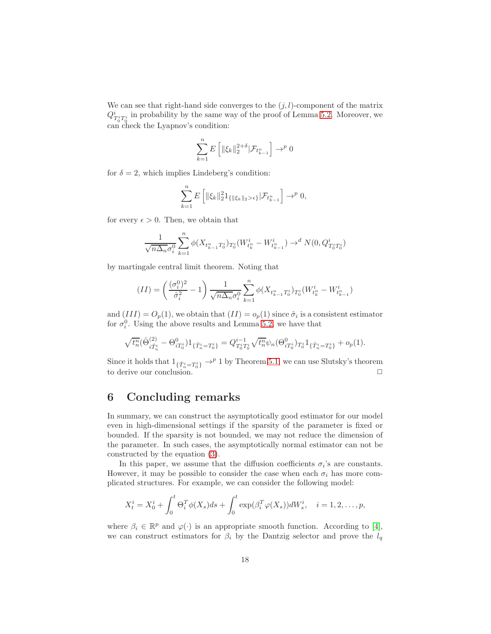We can see that right-hand side converges to the  $(j, l)$ -component of the matrix  $Q_{T_0^i T_0^i}^i$  in probability by the same way of the proof of Lemma [5.2.](#page-14-0) Moreover, we can check the Lyapnov's condition:

$$
\sum_{k=1}^{n} E\left[ \| \xi_k \|_2^{2+\delta} | \mathcal{F}_{t_{k-1}^n} \right] \to^p 0
$$

for  $\delta = 2$ , which implies Lindeberg's condition:

$$
\sum_{k=1}^{n} E\left[ \|\xi_k\|_2^2 1_{\{\|\xi_k\|_2 > \epsilon\}} | \mathcal{F}_{t_{k-1}^n} \right] \to^p 0,
$$

for every  $\epsilon > 0$ . Then, we obtain that

$$
\frac{1}{\sqrt{n\Delta_n}\sigma_i^0}\sum_{k=1}^n \phi(X_{t_{k-1}^n T_0^i})_{T_0^i}(W_{t_k^n}^i-W_{t_{k-1}^n}^i)\to^d N(0,Q_{T_0^i T_0^i}^i)
$$

by martingale central limit theorem. Noting that

$$
(II)=\left(\frac{(\sigma_i^0)^2}{\hat{\sigma}_i^2}-1\right)\frac{1}{\sqrt{n\Delta_n}\sigma_i^0}\sum_{k=1}^n\phi(X_{t_{k-1}^nT_0^i})_{T_0^i}(W_{t_k^n}^i-W_{t_{k-1}^n}^i)
$$

and  $(III) = O_p(1)$ , we obtain that  $(II) = o_p(1)$  since  $\hat{\sigma}_i$  is a consistent estimator for  $\sigma_i^0$ . Using the above results and Lemma [5.2,](#page-14-0) we have that

$$
\sqrt{t_n^n}(\hat{\Theta}_{i\hat{T}_n^i}^{(2)}-\Theta_{iT_0^i}^0)1_{\{\hat{T}_n^i=T_0^i\}}=Q_{T_0^iT_0^i}^{i-1}\sqrt{t_n^n}\psi_n(\Theta_{iT_0^i}^0)_{T_0^i}1_{\{\hat{T}_n^i=T_0^i\}}+o_p(1).
$$

Since it holds that  $1_{\{\hat{T}_n^i = T_0^i\}} \to^p 1$  by Theorem [5.1,](#page-13-0) we can use Slutsky's theorem to derive our conclusion.  $\Box$ 

### 6 Concluding remarks

In summary, we can construct the asymptotically good estimator for our model even in high-dimensional settings if the sparsity of the parameter is fixed or bounded. If the sparsity is not bounded, we may not reduce the dimension of the parameter. In such cases, the asymptotically normal estimator can not be constructed by the equation [\(3\)](#page-14-1).

In this paper, we assume that the diffusion coefficients  $\sigma_i$ 's are constants. However, it may be possible to consider the case when each  $\sigma_i$  has more complicated structures. For example, we can consider the following model:

$$
X_t^i = X_0^i + \int_0^t \Theta_i^T \phi(X_s) ds + \int_0^t \exp(\beta_i^T \varphi(X_s)) dW_s^i, \quad i = 1, 2, \dots, p,
$$

where  $\beta_i \in \mathbb{R}^p$  and  $\varphi(\cdot)$  is an appropriate smooth function. According to [\[4\]](#page-18-2), we can construct estimators for  $\beta_i$  by the Dantzig selector and prove the  $l_q$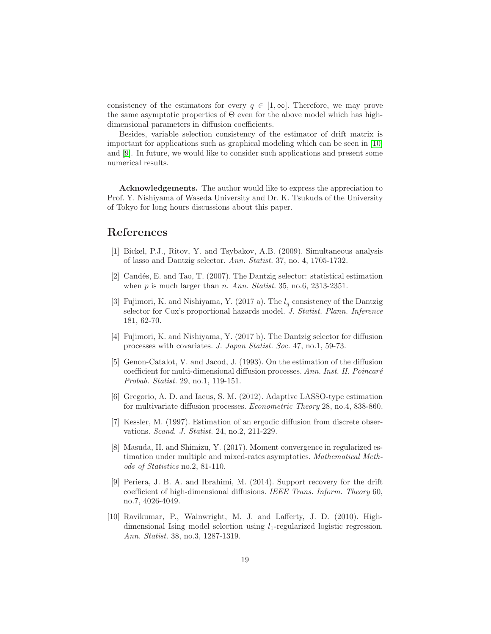consistency of the estimators for every  $q \in [1,\infty]$ . Therefore, we may prove the same asymptotic properties of  $\Theta$  even for the above model which has highdimensional parameters in diffusion coefficients.

Besides, variable selection consistency of the estimator of drift matrix is important for applications such as graphical modeling which can be seen in [\[10\]](#page-18-3) and [\[9\]](#page-18-1). In future, we would like to consider such applications and present some numerical results.

Acknowledgements. The author would like to express the appreciation to Prof. Y. Nishiyama of Waseda University and Dr. K. Tsukuda of the University of Tokyo for long hours discussions about this paper.

### References

- [1] Bickel, P.J., Ritov, Y. and Tsybakov, A.B. (2009). Simultaneous analysis of lasso and Dantzig selector. Ann. Statist. 37, no. 4, 1705-1732.
- [2] Candés, E. and Tao, T.  $(2007)$ . The Dantzig selector: statistical estimation when  $p$  is much larger than  $n$ . Ann. Statist. 35, no.6, 2313-2351.
- [3] Fujimori, K. and Nishiyama, Y. (2017 a). The  $l_q$  consistency of the Dantzig selector for Cox's proportional hazards model. J. Statist. Plann. Inference 181, 62-70.
- <span id="page-18-2"></span>[4] Fujimori, K. and Nishiyama, Y. (2017 b). The Dantzig selector for diffusion processes with covariates. J. Japan Statist. Soc. 47, no.1, 59-73.
- [5] Genon-Catalot, V. and Jacod, J. (1993). On the estimation of the diffusion coefficient for multi-dimensional diffusion processes. Ann. Inst. H. Poincaré Probab. Statist. 29, no.1, 119-151.
- <span id="page-18-0"></span>[6] Gregorio, A. D. and Iacus, S. M. (2012). Adaptive LASSO-type estimation for multivariate diffusion processes. Econometric Theory 28, no.4, 838-860.
- [7] Kessler, M. (1997). Estimation of an ergodic diffusion from discrete observations. Scand. J. Statist. 24, no.2, 211-229.
- [8] Masuda, H. and Shimizu, Y. (2017). Moment convergence in regularized estimation under multiple and mixed-rates asymptotics. Mathematical Methods of Statistics no.2, 81-110.
- <span id="page-18-1"></span>[9] Periera, J. B. A. and Ibrahimi, M. (2014). Support recovery for the drift coefficient of high-dimensional diffusions. IEEE Trans. Inform. Theory 60, no.7, 4026-4049.
- <span id="page-18-3"></span>[10] Ravikumar, P., Wainwright, M. J. and Lafferty, J. D. (2010). Highdimensional Ising model selection using  $l_1$ -regularized logistic regression. Ann. Statist. 38, no.3, 1287-1319.